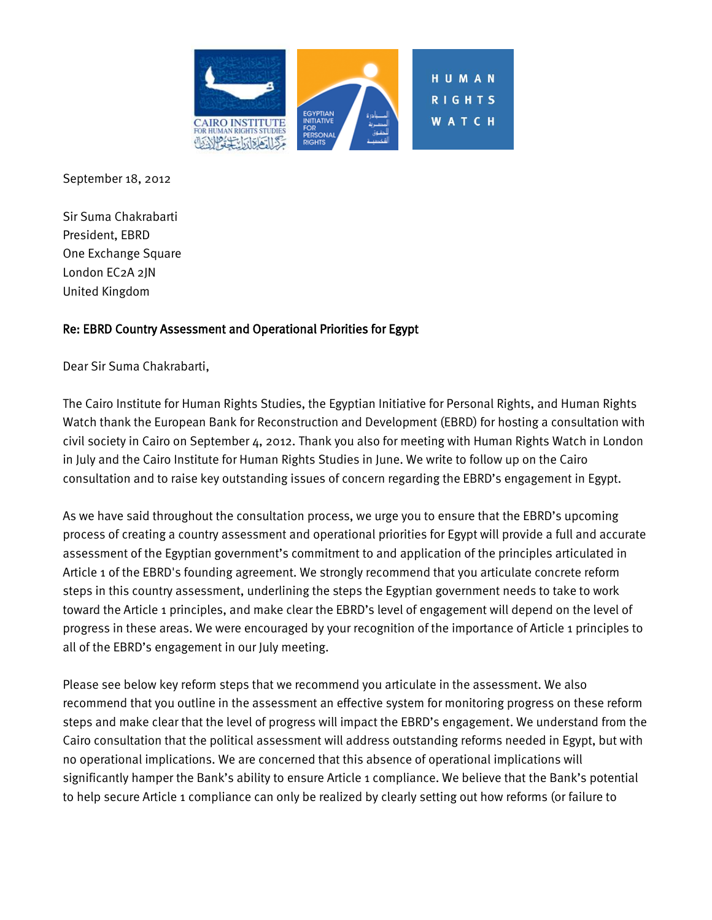

September 18, 2012

Sir Suma Chakrabarti President, EBRD One Exchange Square London EC2A 2JN United Kingdom

### Re: EBRD Country Assessment and Operational Priorities for Egypt

Dear Sir Suma Chakrabarti,

The Cairo Institute for Human Rights Studies, the Egyptian Initiative for Personal Rights, and Human Rights Watch thank the European Bank for Reconstruction and Development (EBRD) for hosting a consultation with civil society in Cairo on September 4, 2012. Thank you also for meeting with Human Rights Watch in London in July and the Cairo Institute for Human Rights Studies in June. We write to follow up on the Cairo consultation and to raise key outstanding issues of concern regarding the EBRD's engagement in Egypt.

As we have said throughout the consultation process, we urge you to ensure that the EBRD's upcoming process of creating a country assessment and operational priorities for Egypt will provide a full and accurate assessment of the Egyptian government's commitment to and application of the principles articulated in Article 1 of the EBRD's founding agreement. We strongly recommend that you articulate concrete reform steps in this country assessment, underlining the steps the Egyptian government needs to take to work toward the Article 1 principles, and make clear the EBRD's level of engagement will depend on the level of progress in these areas. We were encouraged by your recognition of the importance of Article 1 principles to all of the EBRD's engagement in our July meeting.

Please see below key reform steps that we recommend you articulate in the assessment. We also recommend that you outline in the assessment an effective system for monitoring progress on these reform steps and make clear that the level of progress will impact the EBRD's engagement. We understand from the Cairo consultation that the political assessment will address outstanding reforms needed in Egypt, but with no operational implications. We are concerned that this absence of operational implications will significantly hamper the Bank's ability to ensure Article 1 compliance. We believe that the Bank's potential to help secure Article 1 compliance can only be realized by clearly setting out how reforms (or failure to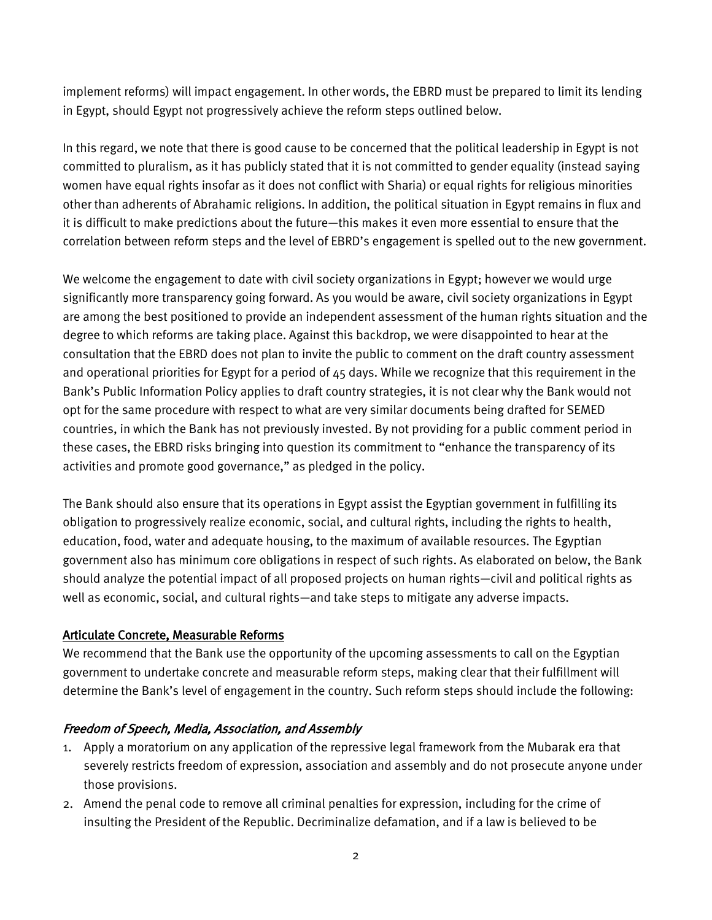implement reforms) will impact engagement. In other words, the EBRD must be prepared to limit its lending in Egypt, should Egypt not progressively achieve the reform steps outlined below.

In this regard, we note that there is good cause to be concerned that the political leadership in Egypt is not committed to pluralism, as it has publicly stated that it is not committed to gender equality (instead saying women have equal rights insofar as it does not conflict with Sharia) or equal rights for religious minorities other than adherents of Abrahamic religions. In addition, the political situation in Egypt remains in flux and it is difficult to make predictions about the future—this makes it even more essential to ensure that the correlation between reform steps and the level of EBRD's engagement is spelled out to the new government.

We welcome the engagement to date with civil society organizations in Egypt; however we would urge significantly more transparency going forward. As you would be aware, civil society organizations in Egypt are among the best positioned to provide an independent assessment of the human rights situation and the degree to which reforms are taking place. Against this backdrop, we were disappointed to hear at the consultation that the EBRD does not plan to invite the public to comment on the draft country assessment and operational priorities for Egypt for a period of 45 days. While we recognize that this requirement in the Bank's Public Information Policy applies to draft country strategies, it is not clear why the Bank would not opt for the same procedure with respect to what are very similar documents being drafted for SEMED countries, in which the Bank has not previously invested. By not providing for a public comment period in these cases, the EBRD risks bringing into question its commitment to "enhance the transparency of its activities and promote good governance," as pledged in the policy.

The Bank should also ensure that its operations in Egypt assist the Egyptian government in fulfilling its obligation to progressively realize economic, social, and cultural rights, including the rights to health, education, food, water and adequate housing, to the maximum of available resources. The Egyptian government also has minimum core obligations in respect of such rights. As elaborated on below, the Bank should analyze the potential impact of all proposed projects on human rights—civil and political rights as well as economic, social, and cultural rights—and take steps to mitigate any adverse impacts.

### Articulate Concrete, Measurable Reforms

We recommend that the Bank use the opportunity of the upcoming assessments to call on the Egyptian government to undertake concrete and measurable reform steps, making clear that their fulfillment will determine the Bank's level of engagement in the country. Such reform steps should include the following:

### Freedom of Speech, Media, Association, and Assembly

- 1. Apply a moratorium on any application of the repressive legal framework from the Mubarak era that severely restricts freedom of expression, association and assembly and do not prosecute anyone under those provisions.
- 2. Amend the penal code to remove all criminal penalties for expression, including for the crime of insulting the President of the Republic. Decriminalize defamation, and if a law is believed to be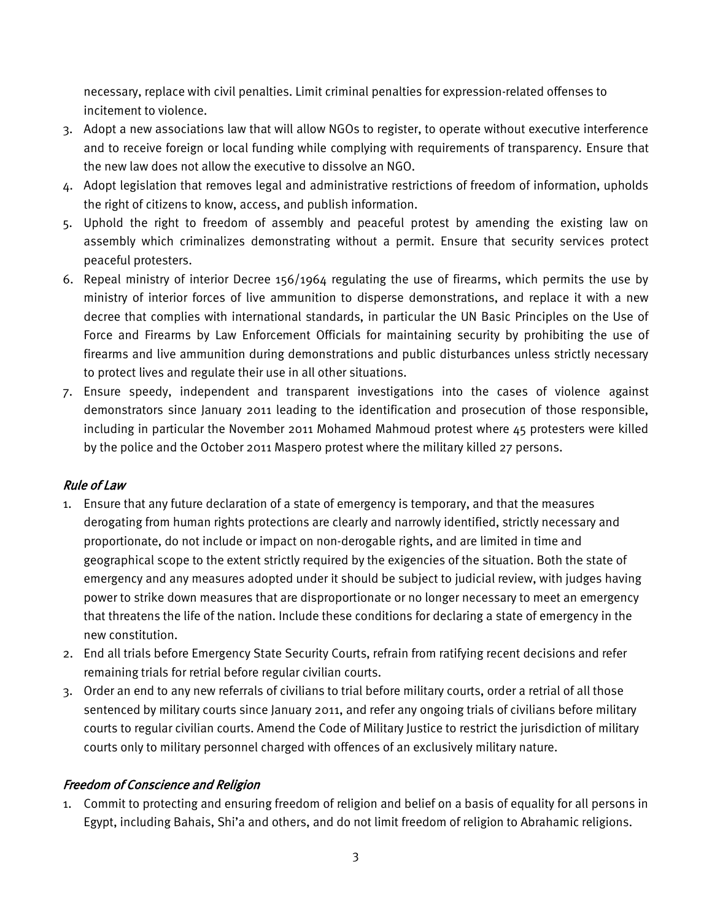necessary, replace with civil penalties. Limit criminal penalties for expression-related offenses to incitement to violence.

- 3. Adopt a new associations law that will allow NGOs to register, to operate without executive interference and to receive foreign or local funding while complying with requirements of transparency. Ensure that the new law does not allow the executive to dissolve an NGO.
- 4. Adopt legislation that removes legal and administrative restrictions of freedom of information, upholds the right of citizens to know, access, and publish information.
- 5. Uphold the right to freedom of assembly and peaceful protest by amending the existing law on assembly which criminalizes demonstrating without a permit. Ensure that security services protect peaceful protesters.
- 6. Repeal ministry of interior Decree 156/1964 regulating the use of firearms, which permits the use by ministry of interior forces of live ammunition to disperse demonstrations, and replace it with a new decree that complies with international standards, in particular the UN Basic Principles on the Use of Force and Firearms by Law Enforcement Officials for maintaining security by prohibiting the use of firearms and live ammunition during demonstrations and public disturbances unless strictly necessary to protect lives and regulate their use in all other situations.
- 7. Ensure speedy, independent and transparent investigations into the cases of violence against demonstrators since January 2011 leading to the identification and prosecution of those responsible, including in particular the November 2011 Mohamed Mahmoud protest where 45 protesters were killed by the police and the October 2011 Maspero protest where the military killed 27 persons.

### Rule of Law

- 1. Ensure that any future declaration of a state of emergency is temporary, and that the measures derogating from human rights protections are clearly and narrowly identified, strictly necessary and proportionate, do not include or impact on non-derogable rights, and are limited in time and geographical scope to the extent strictly required by the exigencies of the situation. Both the state of emergency and any measures adopted under it should be subject to judicial review, with judges having power to strike down measures that are disproportionate or no longer necessary to meet an emergency that threatens the life of the nation. Include these conditions for declaring a state of emergency in the new constitution.
- 2. End all trials before Emergency State Security Courts, refrain from ratifying recent decisions and refer remaining trials for retrial before regular civilian courts.
- 3. Order an end to any new referrals of civilians to trial before military courts, order a retrial of all those sentenced by military courts since January 2011, and refer any ongoing trials of civilians before military courts to regular civilian courts. Amend the Code of Military Justice to restrict the jurisdiction of military courts only to military personnel charged with offences of an exclusively military nature.

### Freedom of Conscience and Religion

1. Commit to protecting and ensuring freedom of religion and belief on a basis of equality for all persons in Egypt, including Bahais, Shi'a and others, and do not limit freedom of religion to Abrahamic religions.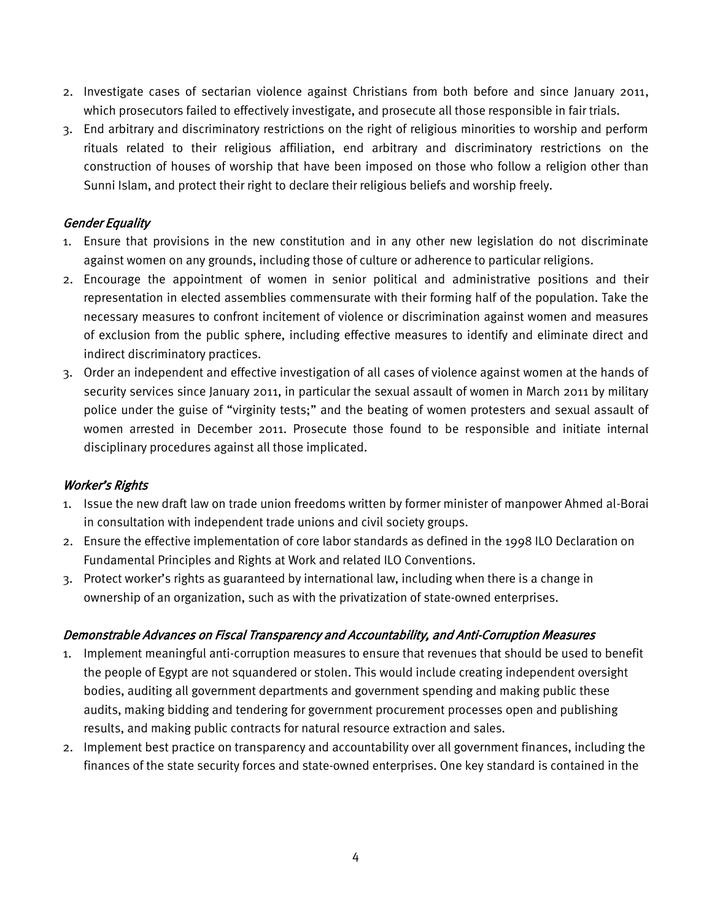- 2. Investigate cases of sectarian violence against Christians from both before and since January 2011, which prosecutors failed to effectively investigate, and prosecute all those responsible in fair trials.
- 3. End arbitrary and discriminatory restrictions on the right of religious minorities to worship and perform rituals related to their religious affiliation, end arbitrary and discriminatory restrictions on the construction of houses of worship that have been imposed on those who follow a religion other than Sunni Islam, and protect their right to declare their religious beliefs and worship freely.

# Gender Equality

- 1. Ensure that provisions in the new constitution and in any other new legislation do not discriminate against women on any grounds, including those of culture or adherence to particular religions.
- 2. Encourage the appointment of women in senior political and administrative positions and their representation in elected assemblies commensurate with their forming half of the population. Take the necessary measures to confront incitement of violence or discrimination against women and measures of exclusion from the public sphere, including effective measures to identify and eliminate direct and indirect discriminatory practices.
- 3. Order an independent and effective investigation of all cases of violence against women at the hands of security services since January 2011, in particular the sexual assault of women in March 2011 by military police under the guise of "virginity tests;" and the beating of women protesters and sexual assault of women arrested in December 2011. Prosecute those found to be responsible and initiate internal disciplinary procedures against all those implicated.

### Worker's Rights

- 1. Issue the new draft law on trade union freedoms written by former minister of manpower Ahmed al-Borai in consultation with independent trade unions and civil society groups.
- 2. Ensure the effective implementation of core labor standards as defined in the 1998 ILO Declaration on Fundamental Principles and Rights at Work and related ILO Conventions.
- 3. Protect worker's rights as guaranteed by international law, including when there is a change in ownership of an organization, such as with the privatization of state-owned enterprises.

### Demonstrable Advances on Fiscal Transparency and Accountability, and Anti-Corruption Measures

- 1. Implement meaningful anti-corruption measures to ensure that revenues that should be used to benefit the people of Egypt are not squandered or stolen. This would include creating independent oversight bodies, auditing all government departments and government spending and making public these audits, making bidding and tendering for government procurement processes open and publishing results, and making public contracts for natural resource extraction and sales.
- 2. Implement best practice on transparency and accountability over all government finances, including the finances of the state security forces and state-owned enterprises. One key standard is contained in the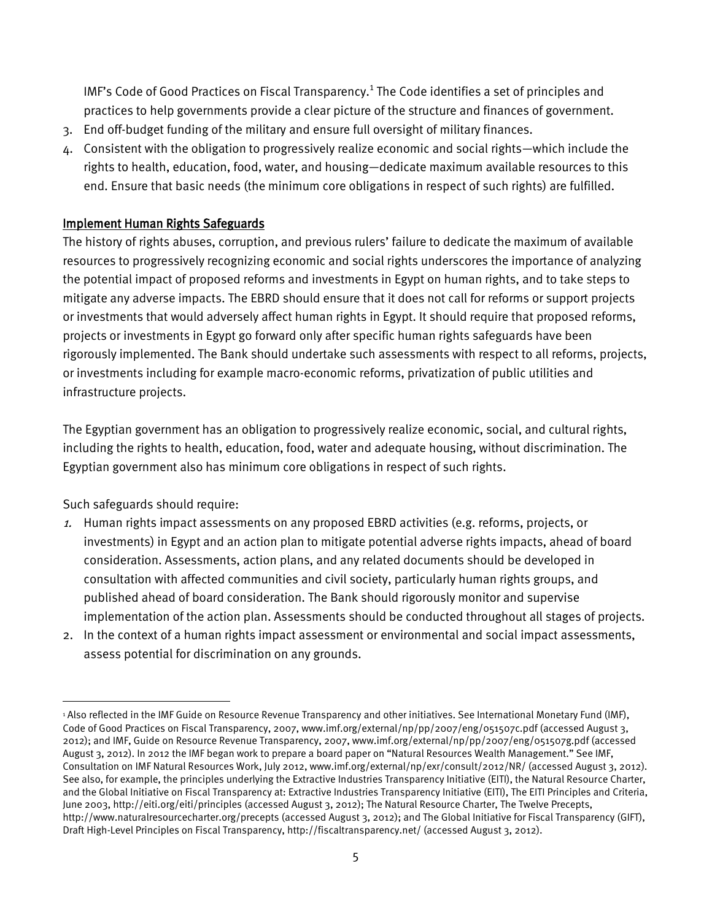IMF's Code of Good Practices on Fiscal Transparency. $^1$  The Code identifies a set of principles and practices to help governments provide a clear picture of the structure and finances of government.

- 3. End off-budget funding of the military and ensure full oversight of military finances.
- 4. Consistent with the obligation to progressively realize economic and social rights—which include the rights to health, education, food, water, and housing—dedicate maximum available resources to this end. Ensure that basic needs (the minimum core obligations in respect of such rights) are fulfilled.

# Implement Human Rights Safeguards

The history of rights abuses, corruption, and previous rulers' failure to dedicate the maximum of available resources to progressively recognizing economic and social rights underscores the importance of analyzing the potential impact of proposed reforms and investments in Egypt on human rights, and to take steps to mitigate any adverse impacts. The EBRD should ensure that it does not call for reforms or support projects or investments that would adversely affect human rights in Egypt. It should require that proposed reforms, projects or investments in Egypt go forward only after specific human rights safeguards have been rigorously implemented. The Bank should undertake such assessments with respect to all reforms, projects, or investments including for example macro-economic reforms, privatization of public utilities and infrastructure projects.

The Egyptian government has an obligation to progressively realize economic, social, and cultural rights, including the rights to health, education, food, water and adequate housing, without discrimination. The Egyptian government also has minimum core obligations in respect of such rights.

Such safeguards should require:

- 1. Human rights impact assessments on any proposed EBRD activities (e.g. reforms, projects, or investments) in Egypt and an action plan to mitigate potential adverse rights impacts, ahead of board consideration. Assessments, action plans, and any related documents should be developed in consultation with affected communities and civil society, particularly human rights groups, and published ahead of board consideration. The Bank should rigorously monitor and supervise implementation of the action plan. Assessments should be conducted throughout all stages of projects.
- 2. In the context of a human rights impact assessment or environmental and social impact assessments, assess potential for discrimination on any grounds.

 $\overline{\phantom{a}}$ <sup>1</sup> Also reflected in the IMF Guide on Resource Revenue Transparency and other initiatives. See International Monetary Fund (IMF), Code of Good Practices on Fiscal Transparency, 2007, www.imf.org/external/np/pp/2007/eng/051507c.pdf (accessed August 3, 2012); and IMF, Guide on Resource Revenue Transparency, 2007, www.imf.org/external/np/pp/2007/eng/051507g.pdf (accessed August 3, 2012). In 2012 the IMF began work to prepare a board paper on "Natural Resources Wealth Management." See IMF, Consultation on IMF Natural Resources Work, July 2012, www.imf.org/external/np/exr/consult/2012/NR/ (accessed August 3, 2012). See also, for example, the principles underlying the Extractive Industries Transparency Initiative (EITI), the Natural Resource Charter, and the Global Initiative on Fiscal Transparency at: Extractive Industries Transparency Initiative (EITI), The EITI Principles and Criteria, June 2003, http://eiti.org/eiti/principles (accessed August 3, 2012); The Natural Resource Charter, The Twelve Precepts, http://www.naturalresourcecharter.org/precepts (accessed August 3, 2012); and The Global Initiative for Fiscal Transparency (GIFT), Draft High-Level Principles on Fiscal Transparency, http://fiscaltransparency.net/ (accessed August 3, 2012).